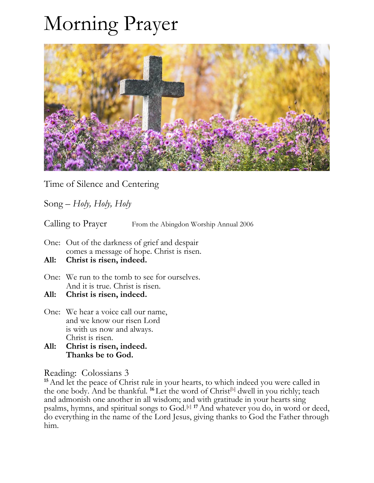## Morning Prayer



Time of Silence and Centering

Song – *Holy, Holy, Holy*

Calling to Prayer From the Abingdon Worship Annual 2006

- One: Out of the darkness of grief and despair comes a message of hope. Christ is risen.
- **All: Christ is risen, indeed.**
- One: We run to the tomb to see for ourselves. And it is true. Christ is risen.
- **All: Christ is risen, indeed.**
- One: We hear a voice call our name, and we know our risen Lord is with us now and always. Christ is risen.
- **All: Christ is risen, indeed. Thanks be to God.**

Reading: Colossians 3

<sup>15</sup> And let the peace of Christ rule in your hearts, to which indeed you were called in the one body. And be thankful. <sup>16</sup> Let the word of Christ<sup>[\[b\]](https://www.biblegateway.com/passage/?search=Colossians+3%3A12-17&version=NRSV#fen-NRSV-29517b)</sup> dwell in you richly; teach and admonish one another in all wisdom; and with gratitude in your hearts sing psalms, hymns, and spiritual songs to God.<sup>[\[c\]](https://www.biblegateway.com/passage/?search=Colossians+3%3A12-17&version=NRSV#fen-NRSV-29517c) 17</sup> And whatever you do, in word or deed, do everything in the name of the Lord Jesus, giving thanks to God the Father through him.